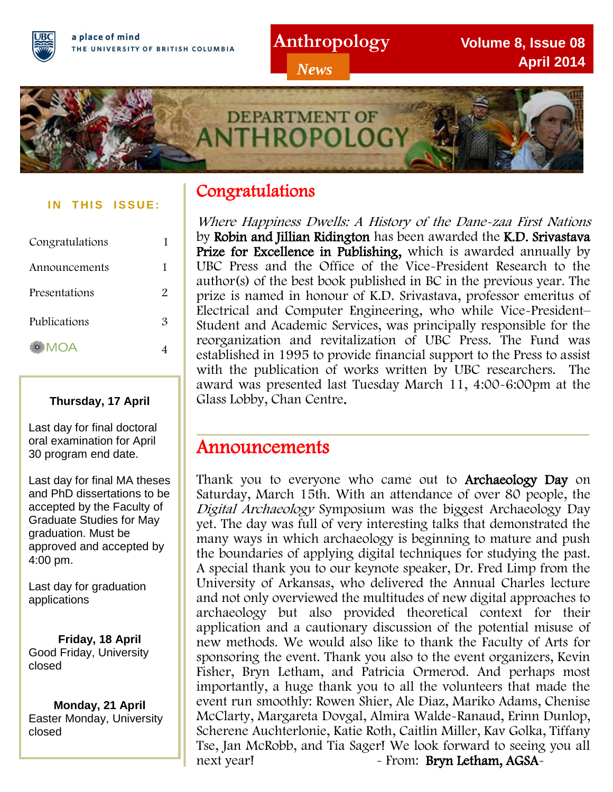**Anthropology**

*News*

**Volume 8, Issue 08 April 2014**



#### **IN THIS ISSUE:**

| Congratulations | 1 |
|-----------------|---|
| Announcements   | 1 |
| Presentations   | 2 |
| Publications    | 3 |
| MOA             |   |

#### **Thursday, 17 April**

Last day for final doctoral oral examination for April 30 program end date.

Last day for final MA theses and PhD dissertations to be accepted by the Faculty of Graduate Studies for May graduation. Must be approved and accepted by 4:00 pm.

Last day for graduation applications

**Friday, 18 April**<br>Good Friday, University closed **Friday, 18 April**

**Monday, 21 April** Easter Monday, University closed

# Congratulations

Where Happiness Dwells: A History of the Dane-zaa First Nations by Robin and Jillian Ridington has been awarded the K.D. Srivastava Prize for Excellence in Publishing, which is awarded annually by UBC Press and the Office of the Vice-President Research to the author(s) of the best book published in BC in the previous year. The prize is named in honour of K.D. Srivastava, professor emeritus of Electrical and Computer Engineering, who while Vice-President– Student and Academic Services, was principally responsible for the reorganization and revitalization of UBC Press. The Fund was established in 1995 to provide financial support to the Press to assist with the publication of works written by UBC researchers. The award was presented last Tuesday March 11, 4:00-6:00pm at the Glass Lobby, Chan Centre.

# Announcements

Thank you to everyone who came out to Archaeology Day on Saturday, March 15th. With an attendance of over 80 people, the Digital Archaeology Symposium was the biggest Archaeology Day yet. The day was full of very interesting talks that demonstrated the many ways in which archaeology is beginning to mature and push the boundaries of applying digital techniques for studying the past. A special thank you to our keynote speaker, Dr. Fred Limp from the University of Arkansas, who delivered the Annual Charles lecture and not only overviewed the multitudes of new digital approaches to archaeology but also provided theoretical context for their application and a cautionary discussion of the potential misuse of new methods. We would also like to thank the Faculty of Arts for sponsoring the event. Thank you also to the event organizers, Kevin Fisher, Bryn Letham, and Patricia Ormerod. And perhaps most importantly, a huge thank you to all the volunteers that made the event run smoothly: Rowen Shier, Ale Diaz, Mariko Adams, Chenise McClarty, Margareta Dovgal, Almira Walde-Ranaud, Erinn Dunlop, Scherene Auchterlonie, Katie Roth, Caitlin Miller, Kav Golka, Tiffany Tse, Jan McRobb, and Tia Sager! We look forward to seeing you all next year! - From: Bryn Letham, AGSA-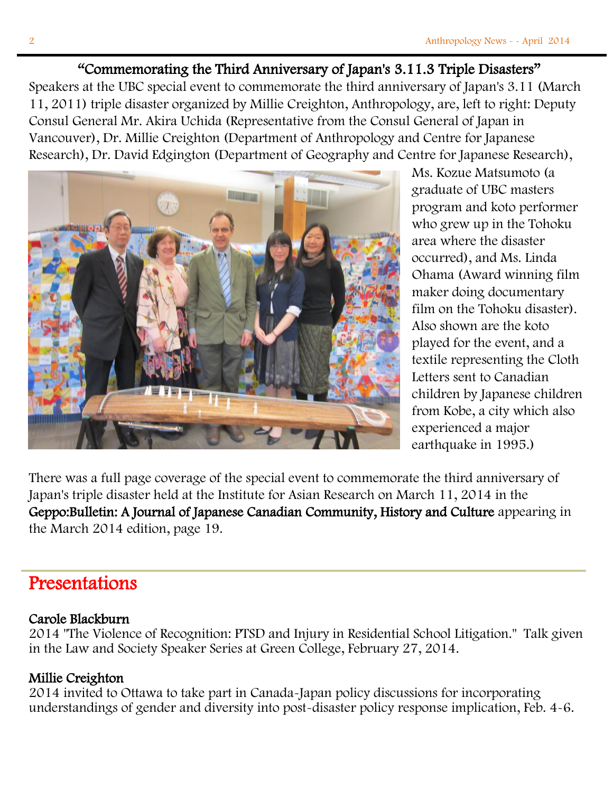# "Commemorating the Third Anniversary of Japan's 3.11.3 Triple Disasters"

Speakers at the UBC special event to commemorate the third anniversary of Japan's 3.11 (March 11, 2011) triple disaster organized by Millie Creighton, Anthropology, are, left to right: Deputy Consul General Mr. Akira Uchida (Representative from the Consul General of Japan in Vancouver), Dr. Millie Creighton (Department of Anthropology and Centre for Japanese Research), Dr. David Edgington (Department of Geography and Centre for Japanese Research),



Ms. Kozue Matsumoto (a graduate of UBC masters program and koto performer who grew up in the Tohoku area where the disaster occurred), and Ms. Linda Ohama (Award winning film maker doing documentary film on the Tohoku disaster). Also shown are the koto played for the event, and a textile representing the Cloth Letters sent to Canadian children by Japanese children from Kobe, a city which also experienced a major earthquake in 1995.)

There was a full page coverage of the special event to commemorate the third anniversary of Japan's triple disaster held at the Institute for Asian Research on March 11, 2014 in the Geppo:Bulletin: A Journal of Japanese Canadian Community, History and Culture appearing in the March 2014 edition, page 19.

# Presentations

## Carole Blackburn

2014 "The Violence of Recognition: PTSD and Injury in Residential School Litigation." Talk given in the Law and Society Speaker Series at Green College, February 27, 2014.

# Millie Creighton

2014 invited to Ottawa to take part in Canada-Japan policy discussions for incorporating understandings of gender and diversity into post-disaster policy response implication, Feb. 4-6.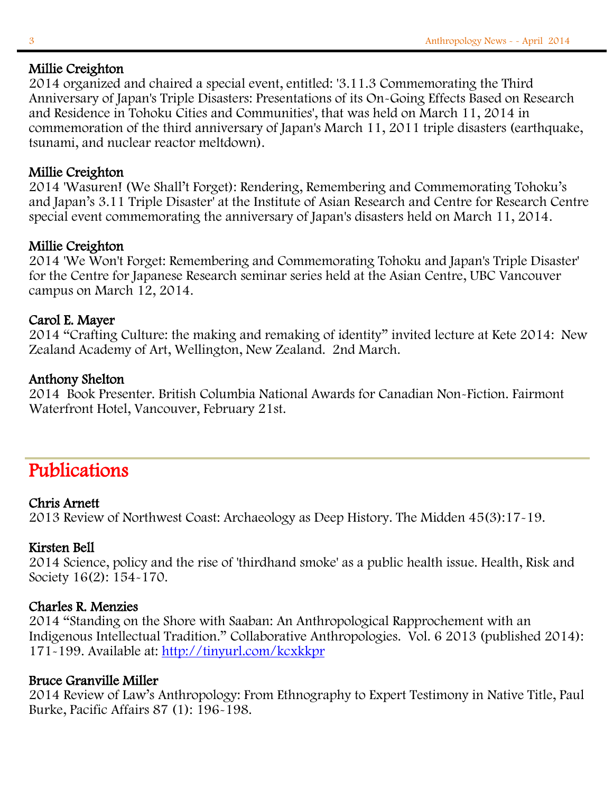## Millie Creighton

2014 organized and chaired a special event, entitled: '3.11.3 Commemorating the Third Anniversary of Japan's Triple Disasters: Presentations of its On-Going Effects Based on Research and Residence in Tohoku Cities and Communities', that was held on March 11, 2014 in commemoration of the third anniversary of Japan's March 11, 2011 triple disasters (earthquake, tsunami, and nuclear reactor meltdown).

## Millie Creighton

2014 'Wasuren! (We Shall't Forget): Rendering, Remembering and Commemorating Tohoku's and Japan's 3.11 Triple Disaster' at the Institute of Asian Research and Centre for Research Centre special event commemorating the anniversary of Japan's disasters held on March 11, 2014.

## Millie Creighton

2014 'We Won't Forget: Remembering and Commemorating Tohoku and Japan's Triple Disaster' for the Centre for Japanese Research seminar series held at the Asian Centre, UBC Vancouver campus on March 12, 2014.

#### Carol E. Mayer

2014 "Crafting Culture: the making and remaking of identity" invited lecture at Kete 2014: New Zealand Academy of Art, Wellington, New Zealand. 2nd March.

#### Anthony Shelton

2014 Book Presenter. British Columbia National Awards for Canadian Non-Fiction. Fairmont Waterfront Hotel, Vancouver, February 21st.

# Publications

#### Chris Arnett

2013 Review of Northwest Coast: Archaeology as Deep History. The Midden 45(3):17-19.

#### Kirsten Bell

2014 Science, policy and the rise of 'thirdhand smoke' as a public health issue. Health, Risk and Society 16(2): 154-170.

#### Charles R. Menzies

2014 "Standing on the Shore with Saaban: An Anthropological Rapprochement with an Indigenous Intellectual Tradition." Collaborative Anthropologies. Vol. 6 2013 (published 2014): 171-199. Available at:<http://tinyurl.com/kcxkkpr>

#### Bruce Granville Miller

2014 Review of Law's Anthropology: From Ethnography to Expert Testimony in Native Title, Paul Burke, Pacific Affairs 87 (1): 196-198.